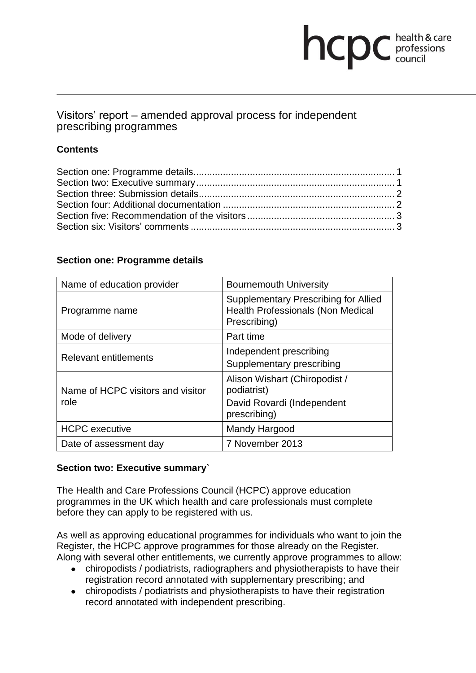# **health & care**

# Visitors' report – amended approval process for independent prescribing programmes

# **Contents**

## **Section one: Programme details**

| Name of education provider                | <b>Bournemouth University</b>                                                                           |
|-------------------------------------------|---------------------------------------------------------------------------------------------------------|
| Programme name                            | <b>Supplementary Prescribing for Allied</b><br><b>Health Professionals (Non Medical</b><br>Prescribing) |
| Mode of delivery                          | Part time                                                                                               |
| <b>Relevant entitlements</b>              | Independent prescribing<br>Supplementary prescribing                                                    |
| Name of HCPC visitors and visitor<br>role | Alison Wishart (Chiropodist /<br>podiatrist)                                                            |
|                                           | David Rovardi (Independent<br>prescribing)                                                              |
| <b>HCPC</b> executive                     | Mandy Hargood                                                                                           |
| Date of assessment day                    | 7 November 2013                                                                                         |

## **Section two: Executive summary`**

The Health and Care Professions Council (HCPC) approve education programmes in the UK which health and care professionals must complete before they can apply to be registered with us.

As well as approving educational programmes for individuals who want to join the Register, the HCPC approve programmes for those already on the Register. Along with several other entitlements, we currently approve programmes to allow:

- chiropodists / podiatrists, radiographers and physiotherapists to have their registration record annotated with supplementary prescribing; and
- chiropodists / podiatrists and physiotherapists to have their registration record annotated with independent prescribing.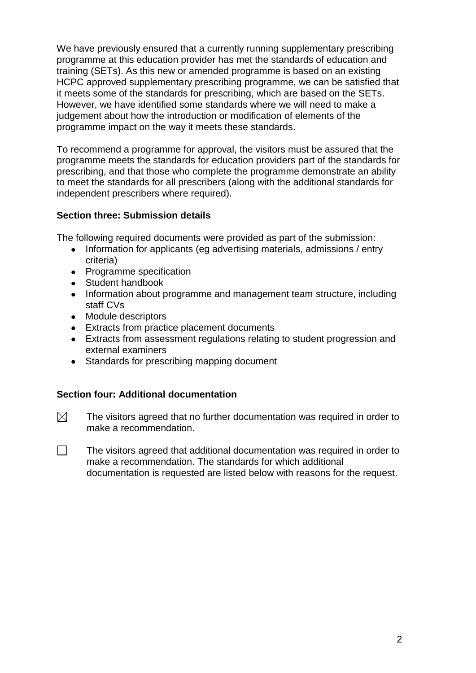We have previously ensured that a currently running supplementary prescribing programme at this education provider has met the standards of education and training (SETs). As this new or amended programme is based on an existing HCPC approved supplementary prescribing programme, we can be satisfied that it meets some of the standards for prescribing, which are based on the SETs. However, we have identified some standards where we will need to make a judgement about how the introduction or modification of elements of the programme impact on the way it meets these standards.

To recommend a programme for approval, the visitors must be assured that the programme meets the standards for education providers part of the standards for prescribing, and that those who complete the programme demonstrate an ability to meet the standards for all prescribers (along with the additional standards for independent prescribers where required).

## **Section three: Submission details**

The following required documents were provided as part of the submission:

- Information for applicants (eg advertising materials, admissions / entry criteria)
- Programme specification
- Student handbook
- Information about programme and management team structure, including staff CVs
- Module descriptors
- Extracts from practice placement documents
- Extracts from assessment regulations relating to student progression and external examiners
- Standards for prescribing mapping document

#### **Section four: Additional documentation**

- $\boxtimes$ The visitors agreed that no further documentation was required in order to make a recommendation.
- $\Box$ The visitors agreed that additional documentation was required in order to make a recommendation. The standards for which additional documentation is requested are listed below with reasons for the request.